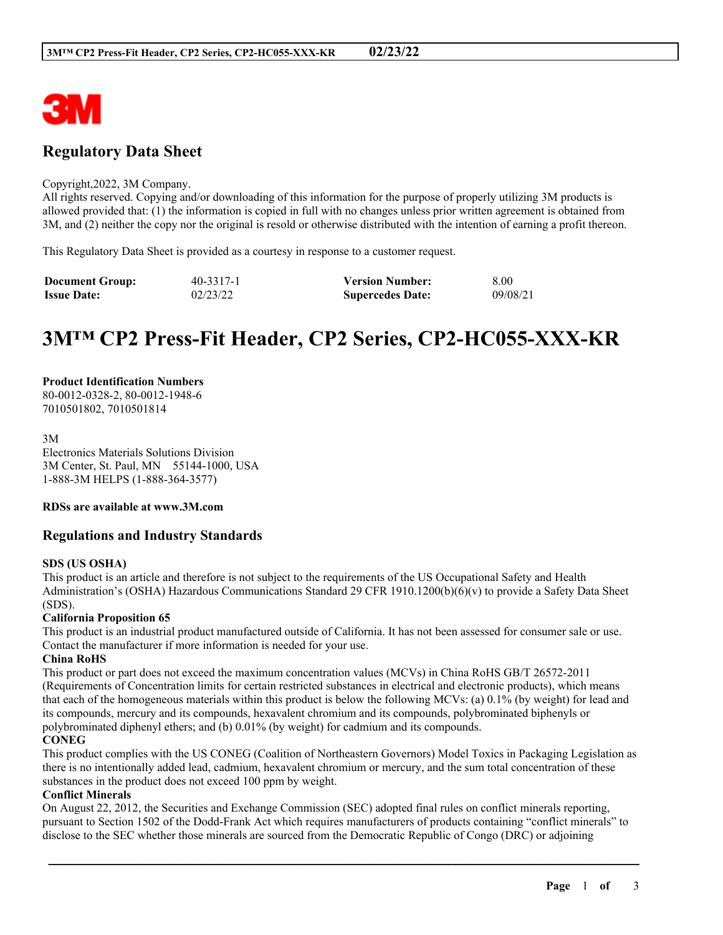

# **Regulatory Data Sheet**

#### Copyright,2022, 3M Company.

All rights reserved. Copying and/or downloading of this information for the purpose of properly utilizing 3M products is allowed provided that: (1) the information is copied in full with no changes unless prior written agreement is obtained from 3M, and (2) neither the copy nor the original is resold or otherwise distributed with the intention of earning a profit thereon.

This Regulatory Data Sheet is provided as a courtesy in response to a customer request.

| <b>Document Group:</b> | 40-3317-1 | <b>Version Number:</b>  | 8.00     |
|------------------------|-----------|-------------------------|----------|
| <b>Issue Date:</b>     | 02/23/22  | <b>Supercedes Date:</b> | 09/08/21 |

# **3M™ CP2 Press-Fit Header, CP2 Series, CP2-HC055-XXX-KR**

#### **Product Identification Numbers** 80-0012-0328-2, 80-0012-1948-6 7010501802, 7010501814

3M Electronics Materials Solutions Division 3M Center, St. Paul, MN 55144-1000, USA 1-888-3M HELPS (1-888-364-3577)

# **RDSs are available at www.3M.com**

# **Regulations and Industry Standards**

#### **SDS (US OSHA)**

This product is an article and therefore is not subject to the requirements of the US Occupational Safety and Health Administration's (OSHA) Hazardous Communications Standard 29 CFR 1910.1200(b)(6)(v) to provide a Safety Data Sheet (SDS).

# **California Proposition 65**

This product is an industrial product manufactured outside of California. It has not been assessed for consumer sale or use. Contact the manufacturer if more information is needed for your use.

#### **China RoHS**

This product or part does not exceed the maximum concentration values (MCVs) in China RoHS GB/T 26572-2011 (Requirements of Concentration limits for certain restricted substances in electrical and electronic products), which means that each of the homogeneous materials within this product is below the following MCVs: (a) 0.1% (by weight) for lead and its compounds, mercury and its compounds, hexavalent chromium and its compounds, polybrominated biphenyls or polybrominated diphenyl ethers; and (b) 0.01% (by weight) for cadmium and its compounds.

# **CONEG**

This product complies with the US CONEG (Coalition of Northeastern Governors) Model Toxics in Packaging Legislation as there is no intentionally added lead, cadmium, hexavalent chromium or mercury, and the sum total concentration of these substances in the product does not exceed 100 ppm by weight.

#### **Conflict Minerals**

On August 22, 2012, the Securities and Exchange Commission (SEC) adopted final rules on conflict minerals reporting, pursuant to Section 1502 of the Dodd-Frank Act which requires manufacturers of products containing "conflict minerals" to disclose to the SEC whether those minerals are sourced from the Democratic Republic of Congo (DRC) or adjoining

\_\_\_\_\_\_\_\_\_\_\_\_\_\_\_\_\_\_\_\_\_\_\_\_\_\_\_\_\_\_\_\_\_\_\_\_\_\_\_\_\_\_\_\_\_\_\_\_\_\_\_\_\_\_\_\_\_\_\_\_\_\_\_\_\_\_\_\_\_\_\_\_\_\_\_\_\_\_\_\_\_\_\_\_\_\_\_\_\_\_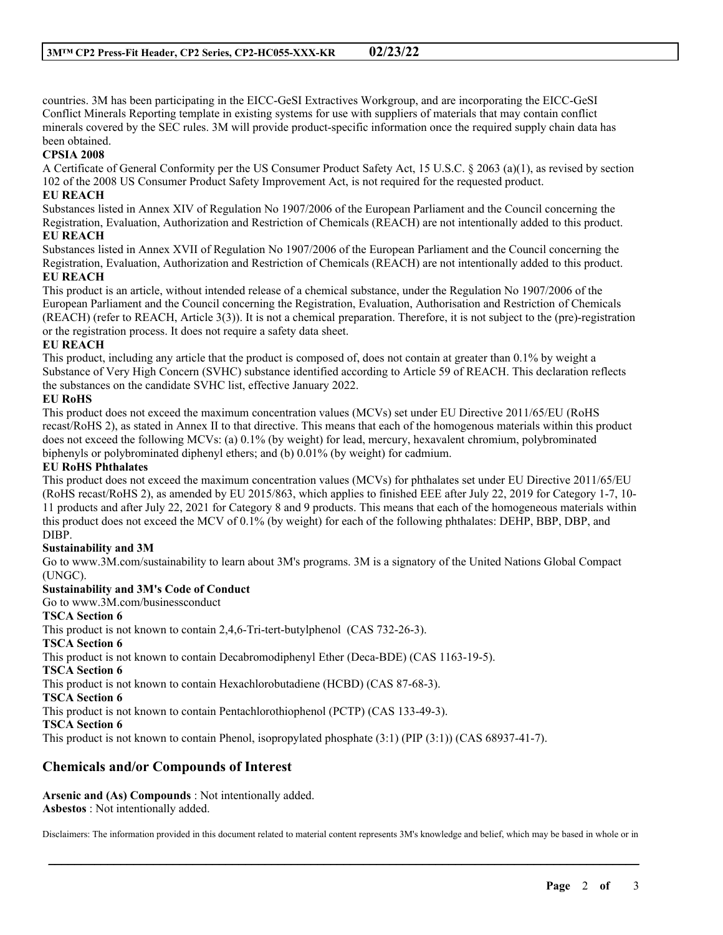countries. 3M has been participating in the EICC-GeSI Extractives Workgroup, and are incorporating the EICC-GeSI Conflict Minerals Reporting template in existing systems for use with suppliers of materials that may contain conflict minerals covered by the SEC rules. 3M will provide product-specific information once the required supply chain data has been obtained.

# **CPSIA 2008**

A Certificate of General Conformity per the US Consumer Product Safety Act, 15 U.S.C. § 2063 (a)(1), as revised by section 102 of the 2008 US Consumer Product Safety Improvement Act, is not required for the requested product.

# **EU REACH**

Substances listed in Annex XIV of Regulation No 1907/2006 of the European Parliament and the Council concerning the Registration, Evaluation, Authorization and Restriction of Chemicals (REACH) are not intentionally added to this product. **EU REACH**

Substances listed in Annex XVII of Regulation No 1907/2006 of the European Parliament and the Council concerning the Registration, Evaluation, Authorization and Restriction of Chemicals (REACH) are not intentionally added to this product. **EU REACH**

This product is an article, without intended release of a chemical substance, under the Regulation No 1907/2006 of the European Parliament and the Council concerning the Registration, Evaluation, Authorisation and Restriction of Chemicals (REACH) (refer to REACH, Article 3(3)). It is not a chemical preparation. Therefore, it is not subject to the (pre)-registration or the registration process. It does not require a safety data sheet.

# **EU REACH**

This product, including any article that the product is composed of, does not contain at greater than 0.1% by weight a Substance of Very High Concern (SVHC) substance identified according to Article 59 of REACH. This declaration reflects the substances on the candidate SVHC list, effective January 2022.

# **EU RoHS**

This product does not exceed the maximum concentration values (MCVs) set under EU Directive 2011/65/EU (RoHS recast/RoHS 2), as stated in Annex II to that directive. This means that each of the homogenous materials within this product does not exceed the following MCVs: (a) 0.1% (by weight) for lead, mercury, hexavalent chromium, polybrominated biphenyls or polybrominated diphenyl ethers; and (b) 0.01% (by weight) for cadmium.

# **EU RoHS Phthalates**

This product does not exceed the maximum concentration values (MCVs) for phthalates set under EU Directive 2011/65/EU (RoHS recast/RoHS 2), as amended by EU 2015/863, which applies to finished EEE after July 22, 2019 for Category 1-7, 10- 11 products and after July 22, 2021 for Category 8 and 9 products. This means that each of the homogeneous materials within this product does not exceed the MCV of 0.1% (by weight) for each of the following phthalates: DEHP, BBP, DBP, and DIBP.

# **Sustainability and 3M**

Go to www.3M.com/sustainability to learn about 3M's programs. 3M is a signatory of the United Nations Global Compact (UNGC).

#### **Sustainability and 3M's Code of Conduct**

Go to www.3M.com/businessconduct

# **TSCA Section 6**

This product is not known to contain 2,4,6-Tri-tert-butylphenol (CAS 732-26-3).

#### **TSCA Section 6**

This product is not known to contain Decabromodiphenyl Ether (Deca-BDE) (CAS 1163-19-5).

#### **TSCA Section 6**

This product is not known to contain Hexachlorobutadiene (HCBD) (CAS 87-68-3).

**TSCA Section 6**

This product is not known to contain Pentachlorothiophenol (PCTP) (CAS 133-49-3).

#### **TSCA Section 6**

This product is not known to contain Phenol, isopropylated phosphate (3:1) (PIP (3:1)) (CAS 68937-41-7).

# **Chemicals and/or Compounds of Interest**

**Arsenic and (As) Compounds** : Not intentionally added. **Asbestos** : Not intentionally added.

Disclaimers: The information provided in this document related to material content represents 3M's knowledge and belief, which may be based in whole or in

\_\_\_\_\_\_\_\_\_\_\_\_\_\_\_\_\_\_\_\_\_\_\_\_\_\_\_\_\_\_\_\_\_\_\_\_\_\_\_\_\_\_\_\_\_\_\_\_\_\_\_\_\_\_\_\_\_\_\_\_\_\_\_\_\_\_\_\_\_\_\_\_\_\_\_\_\_\_\_\_\_\_\_\_\_\_\_\_\_\_